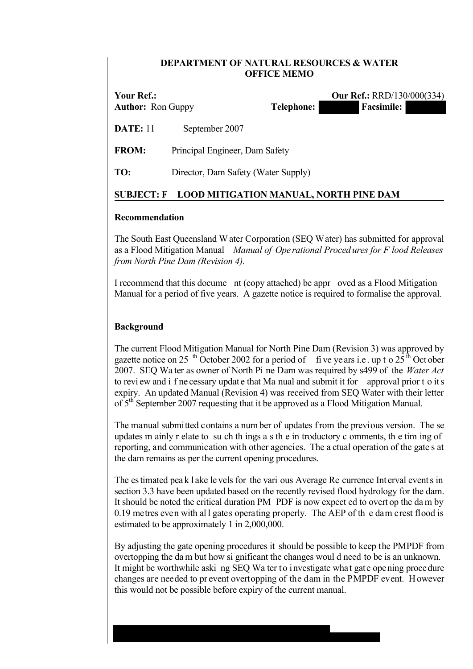### **DEPARTMENT OF NATURAL RESOURCES & WATER OFFICE MEMO**

| Your Ref.:<br><b>Author:</b> Ron Guppy | <b>Telephone:</b>                   |  | <b>Facsimile:</b> | <b>Our Ref.: RRD/130/000(334)</b> |
|----------------------------------------|-------------------------------------|--|-------------------|-----------------------------------|
| <b>DATE: 11</b>                        | September 2007                      |  |                   |                                   |
| <b>FROM:</b>                           | Principal Engineer, Dam Safety      |  |                   |                                   |
| TO:                                    | Director, Dam Safety (Water Supply) |  |                   |                                   |
|                                        |                                     |  |                   |                                   |

# **SUBJECT: F LOOD MITIGATION MANUAL, NORTH PINE DAM**

### **Recommendation**

The South East Queensland W ater Corporation (SEQ Water) has submitted for approval as a Flood Mitigation Manual *Manual of Ope rational Proced ures for F lood Releases from North Pine Dam (Revision 4).*

I recommend that this docume nt (copy attached) be appr oved as a Flood Mitigation Manual for a period of five years. A gazette notice is required to formalise the approval.

# **Background**

The current Flood Mitigation Manual for North Pine Dam (Revision 3) was approved by gazette notice on 25 <sup>th</sup> October 2002 for a period of five ye ars i.e. up t o  $25<sup>th</sup>$  October 2007. SEQ Wa ter as owner of North Pi ne Dam was required by s499 of the *Water Act* to revi ew and i f ne cessary updat e that Ma nual and submit it for approval prior t o it s expiry. An updated Manual (Revision 4) was received from SEQ Water with their letter of 5<sup>th</sup> September 2007 requesting that it be approved as a Flood Mitigation Manual.

The manual submitted contains a num ber of updates f rom the previous version. The se updates m ainly r elate to su ch th ings a s th e in troductory c omments, th e tim ing of reporting, and communication with other agencies. The a ctual operation of the gate s at the dam remains as per the current opening procedures.

The es timated pea k l ake le vels for the vari ous Average Re currence Int erval event s in section 3.3 have been updated based on the recently revised flood hydrology for the dam. It should be noted the critical duration PM PDF is now expect ed to overt op the da m by 0.19 metres even with all gates operating properly. The AEP of the dam crest flood is estimated to be approximately 1 in 2,000,000.

By adjusting the gate opening procedures it should be possible to keep the PMPDF from overtopping the da m but how si gnificant the changes woul d need to be is an unknown. It might be worthwhile aski ng SEQ Wa ter to investigate what gate opening procedure changes are needed to pr event overtopping of the dam in the PMPDF event. H owever this would not be possible before expiry of the current manual.